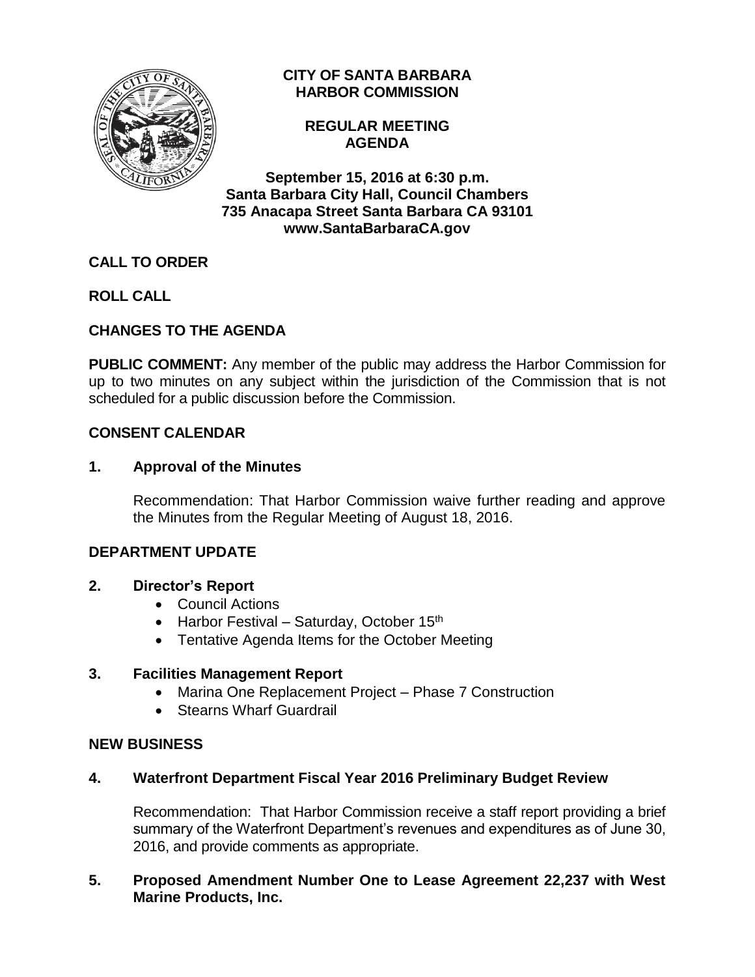

# **CITY OF SANTA BARBARA HARBOR COMMISSION**

## **REGULAR MEETING AGENDA**

**September 15, 2016 at 6:30 p.m. Santa Barbara City Hall, Council Chambers 735 Anacapa Street Santa Barbara CA 93101 www.SantaBarbaraCA.gov**

# **CALL TO ORDER**

**ROLL CALL**

# **CHANGES TO THE AGENDA**

**PUBLIC COMMENT:** Any member of the public may address the Harbor Commission for up to two minutes on any subject within the jurisdiction of the Commission that is not scheduled for a public discussion before the Commission.

# **CONSENT CALENDAR**

# **1. Approval of the Minutes**

Recommendation: That Harbor Commission waive further reading and approve the Minutes from the Regular Meeting of August 18, 2016.

# **DEPARTMENT UPDATE**

# **2. Director's Report**

- Council Actions
- Harbor Festival Saturday, October  $15<sup>th</sup>$
- Tentative Agenda Items for the October Meeting

#### **3. Facilities Management Report**

- Marina One Replacement Project Phase 7 Construction
- Stearns Wharf Guardrail

#### **NEW BUSINESS**

# **4. Waterfront Department Fiscal Year 2016 Preliminary Budget Review**

Recommendation: That Harbor Commission receive a staff report providing a brief summary of the Waterfront Department's revenues and expenditures as of June 30, 2016, and provide comments as appropriate.

### **5. Proposed Amendment Number One to Lease Agreement 22,237 with West Marine Products, Inc.**